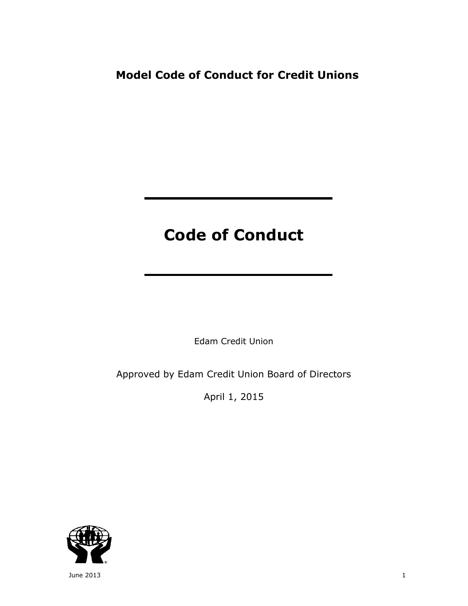# **Model Code of Conduct for Credit Unions**

# **Code of Conduct**

Edam Credit Union

Approved by Edam Credit Union Board of Directors

April 1, 2015



June 2013  $1$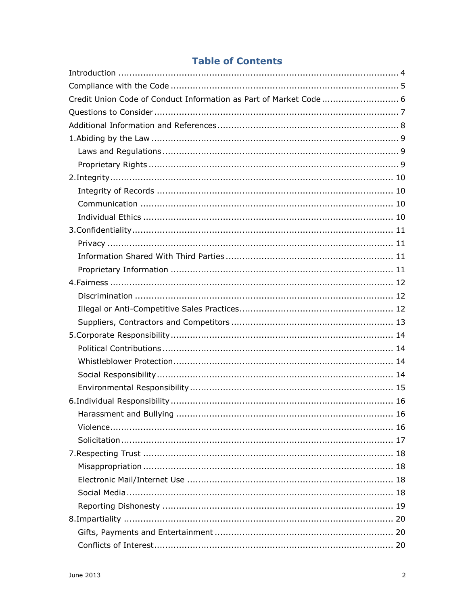# **Table of Contents**

| Credit Union Code of Conduct Information as Part of Market Code  6 |
|--------------------------------------------------------------------|
|                                                                    |
|                                                                    |
|                                                                    |
|                                                                    |
|                                                                    |
|                                                                    |
|                                                                    |
|                                                                    |
|                                                                    |
|                                                                    |
|                                                                    |
|                                                                    |
|                                                                    |
|                                                                    |
|                                                                    |
|                                                                    |
|                                                                    |
|                                                                    |
|                                                                    |
|                                                                    |
|                                                                    |
|                                                                    |
|                                                                    |
|                                                                    |
|                                                                    |
|                                                                    |
|                                                                    |
|                                                                    |
|                                                                    |
|                                                                    |
|                                                                    |
|                                                                    |
|                                                                    |
|                                                                    |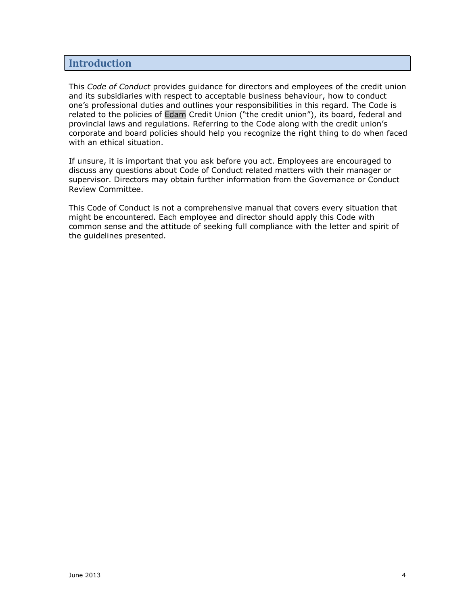#### <span id="page-3-0"></span>**Introduction**

This *Code of Conduct* provides guidance for directors and employees of the credit union and its subsidiaries with respect to acceptable business behaviour, how to conduct one's professional duties and outlines your responsibilities in this regard. The Code is related to the policies of Edam Credit Union ("the credit union"), its board, federal and provincial laws and regulations. Referring to the Code along with the credit union's corporate and board policies should help you recognize the right thing to do when faced with an ethical situation.

If unsure, it is important that you ask before you act. Employees are encouraged to discuss any questions about Code of Conduct related matters with their manager or supervisor. Directors may obtain further information from the Governance or Conduct Review Committee.

This Code of Conduct is not a comprehensive manual that covers every situation that might be encountered. Each employee and director should apply this Code with common sense and the attitude of seeking full compliance with the letter and spirit of the guidelines presented.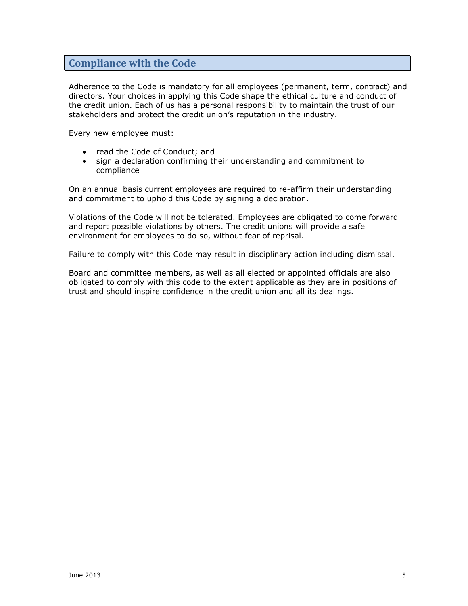# <span id="page-4-0"></span>**Compliance with the Code**

Adherence to the Code is mandatory for all employees (permanent, term, contract) and directors. Your choices in applying this Code shape the ethical culture and conduct of the credit union. Each of us has a personal responsibility to maintain the trust of our stakeholders and protect the credit union's reputation in the industry.

Every new employee must:

- read the Code of Conduct; and
- sign a declaration confirming their understanding and commitment to compliance

On an annual basis current employees are required to re-affirm their understanding and commitment to uphold this Code by signing a declaration.

Violations of the Code will not be tolerated. Employees are obligated to come forward and report possible violations by others. The credit unions will provide a safe environment for employees to do so, without fear of reprisal.

Failure to comply with this Code may result in disciplinary action including dismissal.

Board and committee members, as well as all elected or appointed officials are also obligated to comply with this code to the extent applicable as they are in positions of trust and should inspire confidence in the credit union and all its dealings.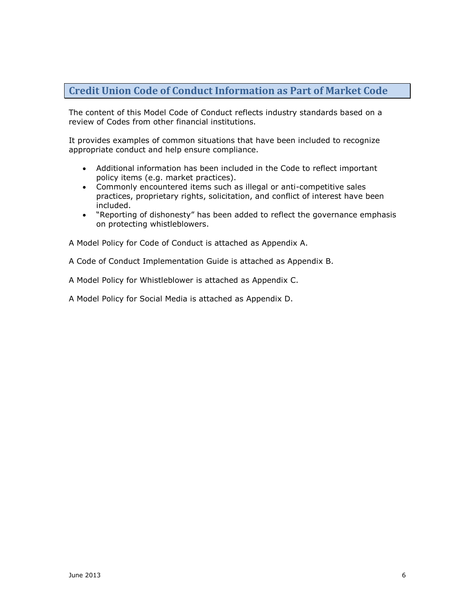# <span id="page-5-0"></span>**Credit Union Code of Conduct Information as Part of Market Code**

The content of this Model Code of Conduct reflects industry standards based on a review of Codes from other financial institutions.

It provides examples of common situations that have been included to recognize appropriate conduct and help ensure compliance.

- Additional information has been included in the Code to reflect important policy items (e.g. market practices).
- Commonly encountered items such as illegal or anti-competitive sales practices, proprietary rights, solicitation, and conflict of interest have been included.
- "Reporting of dishonesty" has been added to reflect the governance emphasis on protecting whistleblowers.

A Model Policy for Code of Conduct is attached as Appendix A.

A Code of Conduct Implementation Guide is attached as Appendix B.

A Model Policy for Whistleblower is attached as Appendix C.

A Model Policy for Social Media is attached as Appendix D.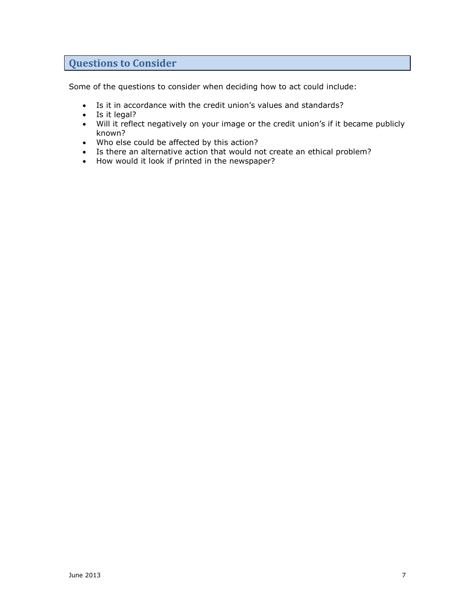# <span id="page-6-0"></span>**Questions to Consider**

Some of the questions to consider when deciding how to act could include:

- Is it in accordance with the credit union's values and standards?
- Is it legal?
- Will it reflect negatively on your image or the credit union's if it became publicly known?
- Who else could be affected by this action?
- Is there an alternative action that would not create an ethical problem?
- How would it look if printed in the newspaper?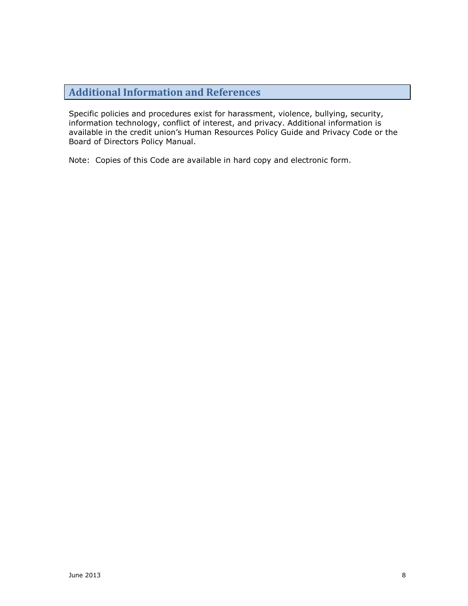# <span id="page-7-0"></span>**Additional Information and References**

Specific policies and procedures exist for harassment, violence, bullying, security, information technology, conflict of interest, and privacy. Additional information is available in the credit union's Human Resources Policy Guide and Privacy Code or the Board of Directors Policy Manual.

Note: Copies of this Code are available in hard copy and electronic form.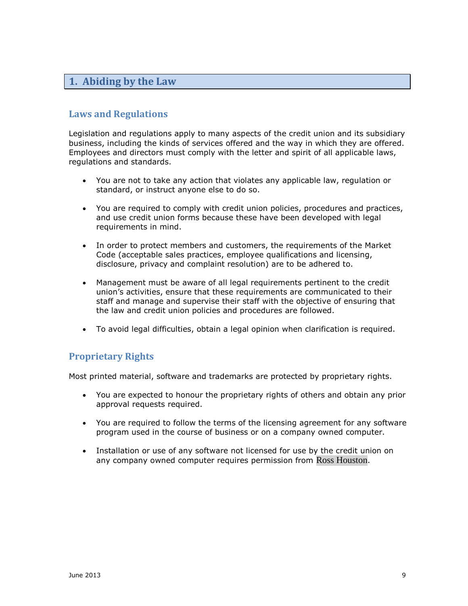# <span id="page-8-0"></span>**1. Abiding by the Law**

#### <span id="page-8-1"></span>**Laws and Regulations**

Legislation and regulations apply to many aspects of the credit union and its subsidiary business, including the kinds of services offered and the way in which they are offered. Employees and directors must comply with the letter and spirit of all applicable laws, regulations and standards.

- You are not to take any action that violates any applicable law, regulation or standard, or instruct anyone else to do so.
- You are required to comply with credit union policies, procedures and practices, and use credit union forms because these have been developed with legal requirements in mind.
- In order to protect members and customers, the requirements of the Market Code (acceptable sales practices, employee qualifications and licensing, disclosure, privacy and complaint resolution) are to be adhered to.
- Management must be aware of all legal requirements pertinent to the credit union's activities, ensure that these requirements are communicated to their staff and manage and supervise their staff with the objective of ensuring that the law and credit union policies and procedures are followed.
- To avoid legal difficulties, obtain a legal opinion when clarification is required.

# <span id="page-8-2"></span>**Proprietary Rights**

Most printed material, software and trademarks are protected by proprietary rights.

- You are expected to honour the proprietary rights of others and obtain any prior approval requests required.
- You are required to follow the terms of the licensing agreement for any software program used in the course of business or on a company owned computer.
- Installation or use of any software not licensed for use by the credit union on any company owned computer requires permission from Ross Houston.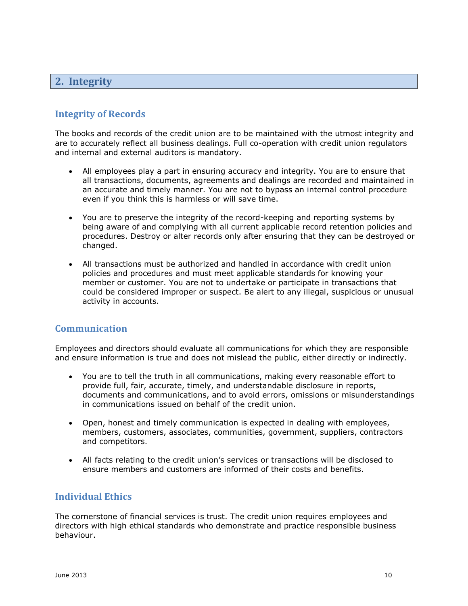# <span id="page-9-0"></span>**2. Integrity**

#### <span id="page-9-1"></span>**Integrity of Records**

The books and records of the credit union are to be maintained with the utmost integrity and are to accurately reflect all business dealings. Full co-operation with credit union regulators and internal and external auditors is mandatory.

- All employees play a part in ensuring accuracy and integrity. You are to ensure that all transactions, documents, agreements and dealings are recorded and maintained in an accurate and timely manner. You are not to bypass an internal control procedure even if you think this is harmless or will save time.
- You are to preserve the integrity of the record-keeping and reporting systems by being aware of and complying with all current applicable record retention policies and procedures. Destroy or alter records only after ensuring that they can be destroyed or changed.
- All transactions must be authorized and handled in accordance with credit union policies and procedures and must meet applicable standards for knowing your member or customer. You are not to undertake or participate in transactions that could be considered improper or suspect. Be alert to any illegal, suspicious or unusual activity in accounts.

#### <span id="page-9-2"></span>**Communication**

Employees and directors should evaluate all communications for which they are responsible and ensure information is true and does not mislead the public, either directly or indirectly.

- You are to tell the truth in all communications, making every reasonable effort to provide full, fair, accurate, timely, and understandable disclosure in reports, documents and communications, and to avoid errors, omissions or misunderstandings in communications issued on behalf of the credit union.
- Open, honest and timely communication is expected in dealing with employees, members, customers, associates, communities, government, suppliers, contractors and competitors.
- All facts relating to the credit union's services or transactions will be disclosed to ensure members and customers are informed of their costs and benefits.

#### <span id="page-9-3"></span>**Individual Ethics**

The cornerstone of financial services is trust. The credit union requires employees and directors with high ethical standards who demonstrate and practice responsible business behaviour.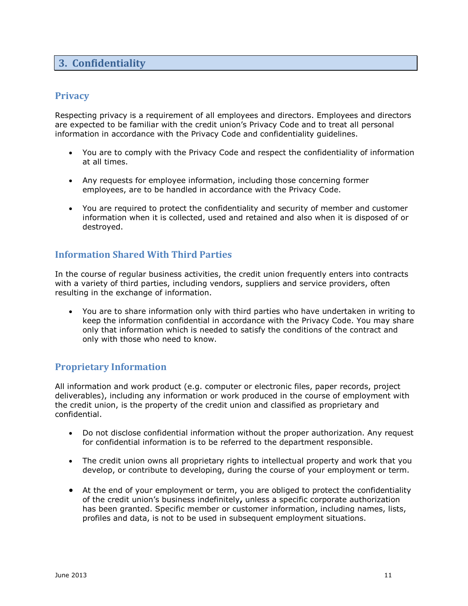# <span id="page-10-0"></span>**3. Confidentiality**

#### <span id="page-10-1"></span>**Privacy**

Respecting privacy is a requirement of all employees and directors. Employees and directors are expected to be familiar with the credit union's Privacy Code and to treat all personal information in accordance with the Privacy Code and confidentiality guidelines.

- You are to comply with the Privacy Code and respect the confidentiality of information at all times.
- Any requests for employee information, including those concerning former employees, are to be handled in accordance with the Privacy Code.
- You are required to protect the confidentiality and security of member and customer information when it is collected, used and retained and also when it is disposed of or destroyed.

#### <span id="page-10-2"></span>**Information Shared With Third Parties**

In the course of regular business activities, the credit union frequently enters into contracts with a variety of third parties, including vendors, suppliers and service providers, often resulting in the exchange of information.

 You are to share information only with third parties who have undertaken in writing to keep the information confidential in accordance with the Privacy Code. You may share only that information which is needed to satisfy the conditions of the contract and only with those who need to know.

#### <span id="page-10-3"></span>**Proprietary Information**

All information and work product (e.g. computer or electronic files, paper records, project deliverables), including any information or work produced in the course of employment with the credit union, is the property of the credit union and classified as proprietary and confidential.

- Do not disclose confidential information without the proper authorization. Any request for confidential information is to be referred to the department responsible.
- The credit union owns all proprietary rights to intellectual property and work that you develop, or contribute to developing, during the course of your employment or term.
- At the end of your employment or term, you are obliged to protect the confidentiality of the credit union's business indefinitely**,** unless a specific corporate authorization has been granted. Specific member or customer information, including names, lists, profiles and data, is not to be used in subsequent employment situations.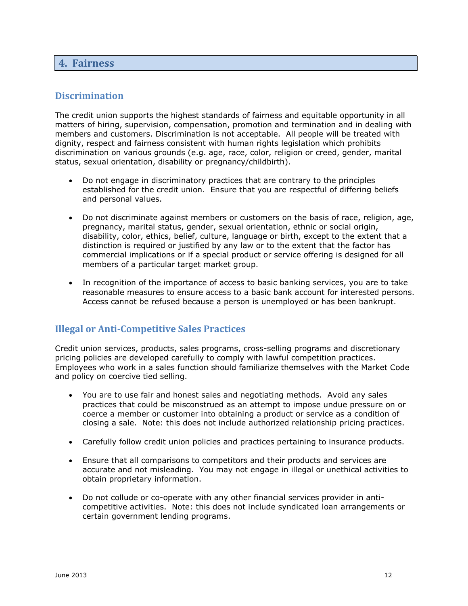#### <span id="page-11-0"></span>**4. Fairness**

#### <span id="page-11-1"></span>**Discrimination**

The credit union supports the highest standards of fairness and equitable opportunity in all matters of hiring, supervision, compensation, promotion and termination and in dealing with members and customers. Discrimination is not acceptable. All people will be treated with dignity, respect and fairness consistent with human rights legislation which prohibits discrimination on various grounds (e.g. age, race, color, religion or creed, gender, marital status, sexual orientation, disability or pregnancy/childbirth).

- Do not engage in discriminatory practices that are contrary to the principles established for the credit union. Ensure that you are respectful of differing beliefs and personal values.
- Do not discriminate against members or customers on the basis of race, religion, age, pregnancy, marital status, gender, sexual orientation, ethnic or social origin, disability, color, ethics, belief, culture, language or birth, except to the extent that a distinction is required or justified by any law or to the extent that the factor has commercial implications or if a special product or service offering is designed for all members of a particular target market group.
- In recognition of the importance of access to basic banking services, you are to take reasonable measures to ensure access to a basic bank account for interested persons. Access cannot be refused because a person is unemployed or has been bankrupt.

#### <span id="page-11-2"></span>**Illegal or Anti-Competitive Sales Practices**

Credit union services, products, sales programs, cross-selling programs and discretionary pricing policies are developed carefully to comply with lawful competition practices. Employees who work in a sales function should familiarize themselves with the Market Code and policy on coercive tied selling.

- You are to use fair and honest sales and negotiating methods. Avoid any sales practices that could be misconstrued as an attempt to impose undue pressure on or coerce a member or customer into obtaining a product or service as a condition of closing a sale. Note: this does not include authorized relationship pricing practices.
- Carefully follow credit union policies and practices pertaining to insurance products.
- Ensure that all comparisons to competitors and their products and services are accurate and not misleading. You may not engage in illegal or unethical activities to obtain proprietary information.
- Do not collude or co-operate with any other financial services provider in anticompetitive activities. Note: this does not include syndicated loan arrangements or certain government lending programs.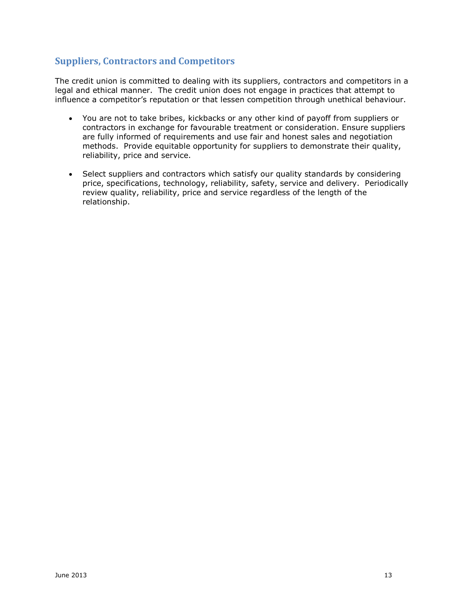# <span id="page-12-0"></span>**Suppliers, Contractors and Competitors**

The credit union is committed to dealing with its suppliers, contractors and competitors in a legal and ethical manner. The credit union does not engage in practices that attempt to influence a competitor's reputation or that lessen competition through unethical behaviour.

- You are not to take bribes, kickbacks or any other kind of payoff from suppliers or contractors in exchange for favourable treatment or consideration. Ensure suppliers are fully informed of requirements and use fair and honest sales and negotiation methods. Provide equitable opportunity for suppliers to demonstrate their quality, reliability, price and service.
- Select suppliers and contractors which satisfy our quality standards by considering price, specifications, technology, reliability, safety, service and delivery. Periodically review quality, reliability, price and service regardless of the length of the relationship.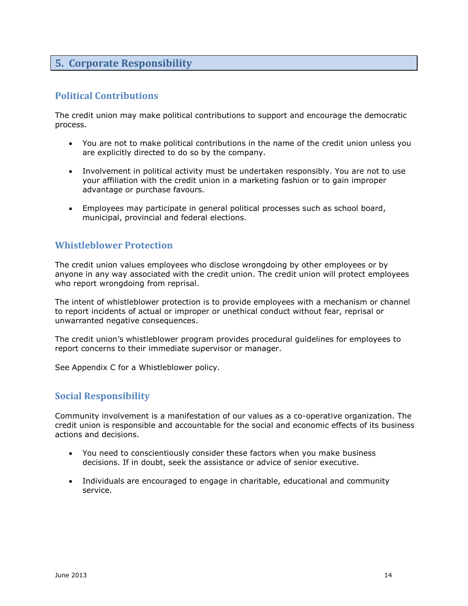# <span id="page-13-0"></span>**5. Corporate Responsibility**

#### <span id="page-13-1"></span>**Political Contributions**

The credit union may make political contributions to support and encourage the democratic process.

- You are not to make political contributions in the name of the credit union unless you are explicitly directed to do so by the company.
- Involvement in political activity must be undertaken responsibly. You are not to use your affiliation with the credit union in a marketing fashion or to gain improper advantage or purchase favours.
- Employees may participate in general political processes such as school board, municipal, provincial and federal elections.

#### <span id="page-13-2"></span>**Whistleblower Protection**

The credit union values employees who disclose wrongdoing by other employees or by anyone in any way associated with the credit union. The credit union will protect employees who report wrongdoing from reprisal.

The intent of whistleblower protection is to provide employees with a mechanism or channel to report incidents of actual or improper or unethical conduct without fear, reprisal or unwarranted negative consequences.

The credit union's whistleblower program provides procedural guidelines for employees to report concerns to their immediate supervisor or manager.

See Appendix C for a Whistleblower policy.

#### <span id="page-13-3"></span>**Social Responsibility**

Community involvement is a manifestation of our values as a co-operative organization. The credit union is responsible and accountable for the social and economic effects of its business actions and decisions.

- You need to conscientiously consider these factors when you make business decisions. If in doubt, seek the assistance or advice of senior executive.
- Individuals are encouraged to engage in charitable, educational and community service.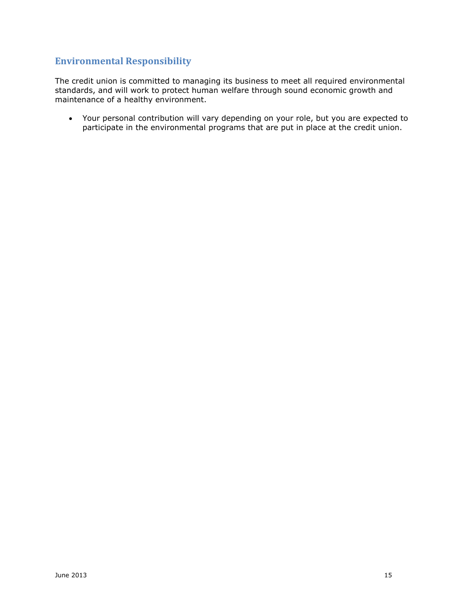#### <span id="page-14-0"></span>**Environmental Responsibility**

The credit union is committed to managing its business to meet all required environmental standards, and will work to protect human welfare through sound economic growth and maintenance of a healthy environment.

 Your personal contribution will vary depending on your role, but you are expected to participate in the environmental programs that are put in place at the credit union.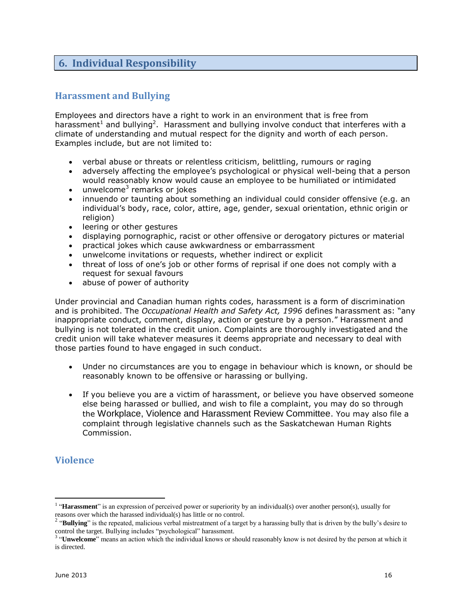# <span id="page-15-0"></span>**6. Individual Responsibility**

# <span id="page-15-1"></span>**Harassment and Bullying**

Employees and directors have a right to work in an environment that is free from harassment<sup>1</sup> and bullying<sup>2</sup>. Harassment and bullying involve conduct that interferes with a climate of understanding and mutual respect for the dignity and worth of each person. Examples include, but are not limited to:

- verbal abuse or threats or relentless criticism, belittling, rumours or raging
- adversely affecting the employee's psychological or physical well-being that a person would reasonably know would cause an employee to be humiliated or intimidated
- $\bullet$  unwelcome<sup>3</sup> remarks or jokes
- innuendo or taunting about something an individual could consider offensive (e.g. an individual's body, race, color, attire, age, gender, sexual orientation, ethnic origin or religion)
- leering or other gestures
- displaying pornographic, racist or other offensive or derogatory pictures or material
- practical jokes which cause awkwardness or embarrassment
- unwelcome invitations or requests, whether indirect or explicit
- threat of loss of one's job or other forms of reprisal if one does not comply with a request for sexual favours
- abuse of power of authority

Under provincial and Canadian human rights codes, harassment is a form of discrimination and is prohibited. The *Occupational Health and Safety Act, 1996* defines harassment as: "any inappropriate conduct, comment, display, action or gesture by a person." Harassment and bullying is not tolerated in the credit union. Complaints are thoroughly investigated and the credit union will take whatever measures it deems appropriate and necessary to deal with those parties found to have engaged in such conduct.

- Under no circumstances are you to engage in behaviour which is known, or should be reasonably known to be offensive or harassing or bullying.
- If you believe you are a victim of harassment, or believe you have observed someone else being harassed or bullied, and wish to file a complaint, you may do so through the Workplace, Violence and Harassment Review Committee. You may also file a complaint through legislative channels such as the Saskatchewan Human Rights Commission.

# <span id="page-15-2"></span>**Violence**

 $\overline{a}$ 

<sup>&</sup>lt;sup>1</sup> "Harassment" is an expression of perceived power or superiority by an individual(s) over another person(s), usually for

reasons over which the harassed individual(s) has little or no control.<br><sup>2</sup> "**Bullying**" is the repeated, malicious verbal mistreatment of a target by a harassing bully that is driven by the bully's desire to

control the target. Bullying includes "psychological" harassment. 3 "**Unwelcome**" means an action which the individual knows or should reasonably know is not desired by the person at which it is directed.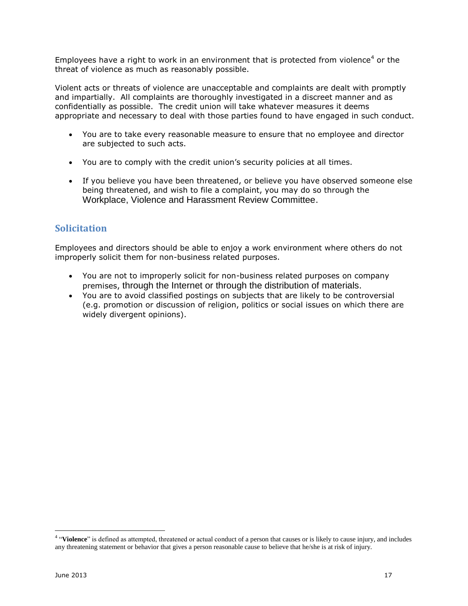Employees have a right to work in an environment that is protected from violence<sup>4</sup> or the threat of violence as much as reasonably possible.

Violent acts or threats of violence are unacceptable and complaints are dealt with promptly and impartially. All complaints are thoroughly investigated in a discreet manner and as confidentially as possible. The credit union will take whatever measures it deems appropriate and necessary to deal with those parties found to have engaged in such conduct.

- You are to take every reasonable measure to ensure that no employee and director are subjected to such acts.
- You are to comply with the credit union's security policies at all times.
- If you believe you have been threatened, or believe you have observed someone else being threatened, and wish to file a complaint, you may do so through the Workplace, Violence and Harassment Review Committee.

# <span id="page-16-0"></span>**Solicitation**

Employees and directors should be able to enjoy a work environment where others do not improperly solicit them for non-business related purposes.

- You are not to improperly solicit for non-business related purposes on company premises, through the Internet or through the distribution of materials.
- You are to avoid classified postings on subjects that are likely to be controversial (e.g. promotion or discussion of religion, politics or social issues on which there are widely divergent opinions).

 4 "**Violence**" is defined as attempted, threatened or actual conduct of a person that causes or is likely to cause injury, and includes any threatening statement or behavior that gives a person reasonable cause to believe that he/she is at risk of injury.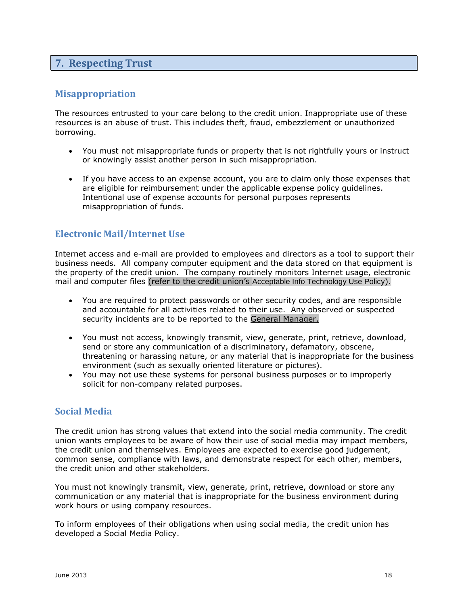### <span id="page-17-0"></span>**7. Respecting Trust**

#### <span id="page-17-1"></span>**Misappropriation**

The resources entrusted to your care belong to the credit union. Inappropriate use of these resources is an abuse of trust. This includes theft, fraud, embezzlement or unauthorized borrowing.

- You must not misappropriate funds or property that is not rightfully yours or instruct or knowingly assist another person in such misappropriation.
- If you have access to an expense account, you are to claim only those expenses that are eligible for reimbursement under the applicable expense policy guidelines. Intentional use of expense accounts for personal purposes represents misappropriation of funds.

#### <span id="page-17-2"></span>**Electronic Mail/Internet Use**

Internet access and e-mail are provided to employees and directors as a tool to support their business needs. All company computer equipment and the data stored on that equipment is the property of the credit union. The company routinely monitors Internet usage, electronic mail and computer files (refer to the credit union's Acceptable Info Technology Use Policy).

- You are required to protect passwords or other security codes, and are responsible and accountable for all activities related to their use. Any observed or suspected security incidents are to be reported to the General Manager.
- You must not access, knowingly transmit, view, generate, print, retrieve, download, send or store any communication of a discriminatory, defamatory, obscene, threatening or harassing nature, or any material that is inappropriate for the business environment (such as sexually oriented literature or pictures).
- You may not use these systems for personal business purposes or to improperly solicit for non-company related purposes.

#### <span id="page-17-3"></span>**Social Media**

The credit union has strong values that extend into the social media community. The credit union wants employees to be aware of how their use of social media may impact members, the credit union and themselves. Employees are expected to exercise good judgement, common sense, compliance with laws, and demonstrate respect for each other, members, the credit union and other stakeholders.

You must not knowingly transmit, view, generate, print, retrieve, download or store any communication or any material that is inappropriate for the business environment during work hours or using company resources.

To inform employees of their obligations when using social media, the credit union has developed a Social Media Policy.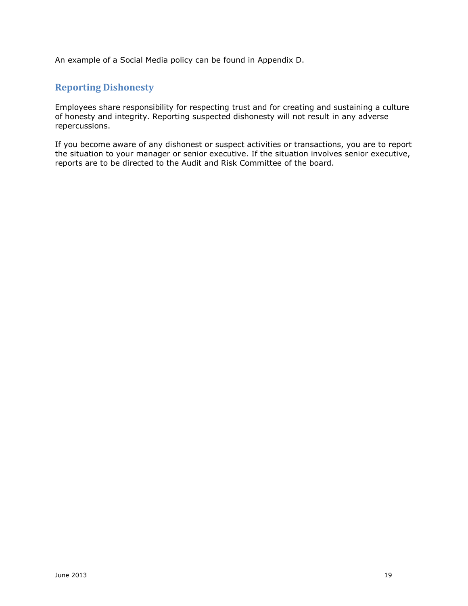An example of a Social Media policy can be found in Appendix D.

#### <span id="page-18-0"></span>**Reporting Dishonesty**

Employees share responsibility for respecting trust and for creating and sustaining a culture of honesty and integrity. Reporting suspected dishonesty will not result in any adverse repercussions.

If you become aware of any dishonest or suspect activities or transactions, you are to report the situation to your manager or senior executive. If the situation involves senior executive, reports are to be directed to the Audit and Risk Committee of the board.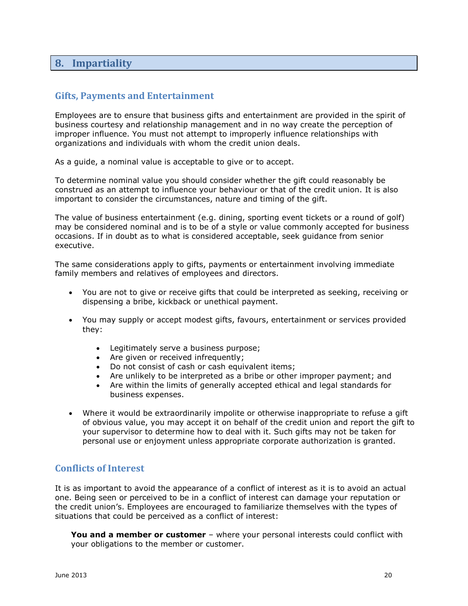### <span id="page-19-0"></span>**8. Impartiality**

#### <span id="page-19-1"></span>**Gifts, Payments and Entertainment**

Employees are to ensure that business gifts and entertainment are provided in the spirit of business courtesy and relationship management and in no way create the perception of improper influence. You must not attempt to improperly influence relationships with organizations and individuals with whom the credit union deals.

As a guide, a nominal value is acceptable to give or to accept.

To determine nominal value you should consider whether the gift could reasonably be construed as an attempt to influence your behaviour or that of the credit union. It is also important to consider the circumstances, nature and timing of the gift.

The value of business entertainment (e.g. dining, sporting event tickets or a round of golf) may be considered nominal and is to be of a style or value commonly accepted for business occasions. If in doubt as to what is considered acceptable, seek guidance from senior executive.

The same considerations apply to gifts, payments or entertainment involving immediate family members and relatives of employees and directors.

- You are not to give or receive gifts that could be interpreted as seeking, receiving or dispensing a bribe, kickback or unethical payment.
- You may supply or accept modest gifts, favours, entertainment or services provided they:
	- Legitimately serve a business purpose;
	- Are given or received infrequently;
	- Do not consist of cash or cash equivalent items;
	- Are unlikely to be interpreted as a bribe or other improper payment; and
	- Are within the limits of generally accepted ethical and legal standards for business expenses.
- Where it would be extraordinarily impolite or otherwise inappropriate to refuse a gift of obvious value, you may accept it on behalf of the credit union and report the gift to your supervisor to determine how to deal with it. Such gifts may not be taken for personal use or enjoyment unless appropriate corporate authorization is granted.

#### <span id="page-19-2"></span>**Conflicts of Interest**

It is as important to avoid the appearance of a conflict of interest as it is to avoid an actual one. Being seen or perceived to be in a conflict of interest can damage your reputation or the credit union's. Employees are encouraged to familiarize themselves with the types of situations that could be perceived as a conflict of interest:

**You and a member or customer** – where your personal interests could conflict with your obligations to the member or customer.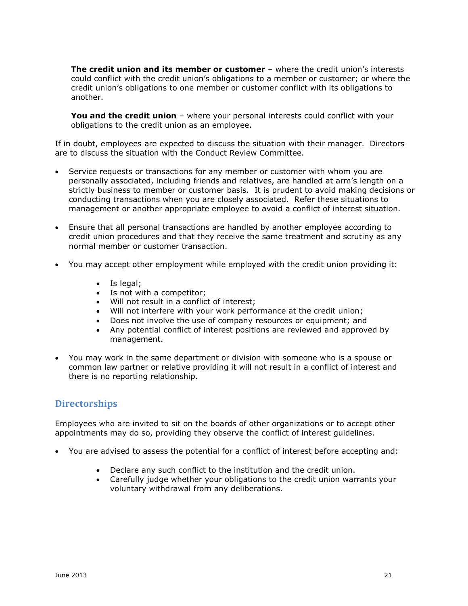**The credit union and its member or customer** – where the credit union's interests could conflict with the credit union's obligations to a member or customer; or where the credit union's obligations to one member or customer conflict with its obligations to another.

**You and the credit union** – where your personal interests could conflict with your obligations to the credit union as an employee.

If in doubt, employees are expected to discuss the situation with their manager. Directors are to discuss the situation with the Conduct Review Committee.

- Service requests or transactions for any member or customer with whom you are personally associated, including friends and relatives, are handled at arm's length on a strictly business to member or customer basis. It is prudent to avoid making decisions or conducting transactions when you are closely associated. Refer these situations to management or another appropriate employee to avoid a conflict of interest situation.
- Ensure that all personal transactions are handled by another employee according to credit union procedures and that they receive the same treatment and scrutiny as any normal member or customer transaction.
- You may accept other employment while employed with the credit union providing it:
	- Is legal;
	- Is not with a competitor;
	- Will not result in a conflict of interest;
	- Will not interfere with your work performance at the credit union;
	- Does not involve the use of company resources or equipment; and
	- Any potential conflict of interest positions are reviewed and approved by management.
- You may work in the same department or division with someone who is a spouse or common law partner or relative providing it will not result in a conflict of interest and there is no reporting relationship.

#### <span id="page-20-0"></span>**Directorships**

Employees who are invited to sit on the boards of other organizations or to accept other appointments may do so, providing they observe the conflict of interest guidelines.

- You are advised to assess the potential for a conflict of interest before accepting and:
	- Declare any such conflict to the institution and the credit union.
	- Carefully judge whether your obligations to the credit union warrants your voluntary withdrawal from any deliberations.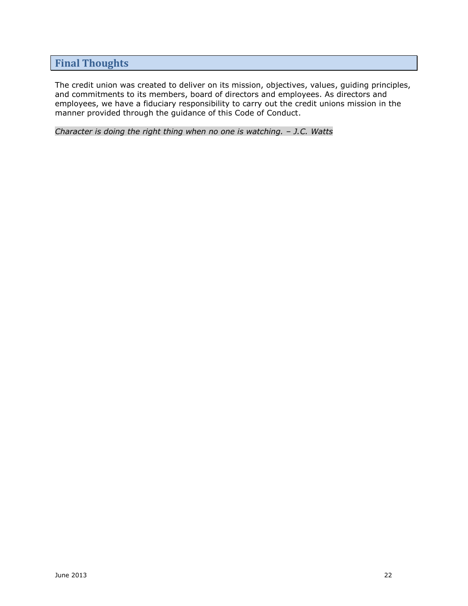# <span id="page-21-0"></span>**Final Thoughts**

The credit union was created to deliver on its mission, objectives, values, guiding principles, and commitments to its members, board of directors and employees. As directors and employees, we have a fiduciary responsibility to carry out the credit unions mission in the manner provided through the guidance of this Code of Conduct.

*Character is doing the right thing when no one is watching. - J.C. Watts*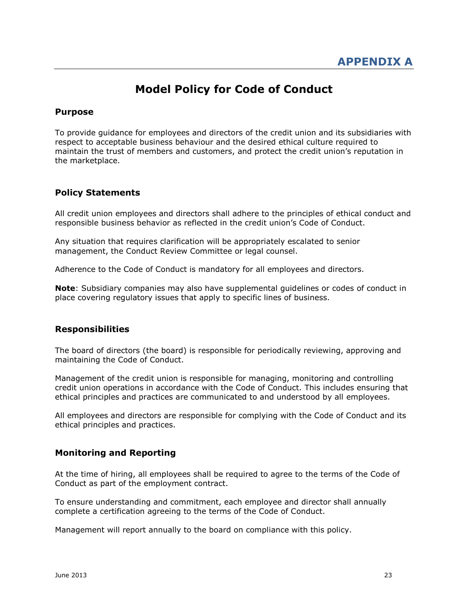# **Model Policy for Code of Conduct**

#### <span id="page-22-0"></span>**Purpose**

To provide guidance for employees and directors of the credit union and its subsidiaries with respect to acceptable business behaviour and the desired ethical culture required to maintain the trust of members and customers, and protect the credit union's reputation in the marketplace.

#### **Policy Statements**

All credit union employees and directors shall adhere to the principles of ethical conduct and responsible business behavior as reflected in the credit union's Code of Conduct.

Any situation that requires clarification will be appropriately escalated to senior management, the Conduct Review Committee or legal counsel.

Adherence to the Code of Conduct is mandatory for all employees and directors.

**Note**: Subsidiary companies may also have supplemental guidelines or codes of conduct in place covering regulatory issues that apply to specific lines of business.

#### **Responsibilities**

The board of directors (the board) is responsible for periodically reviewing, approving and maintaining the Code of Conduct.

Management of the credit union is responsible for managing, monitoring and controlling credit union operations in accordance with the Code of Conduct. This includes ensuring that ethical principles and practices are communicated to and understood by all employees.

All employees and directors are responsible for complying with the Code of Conduct and its ethical principles and practices.

#### **Monitoring and Reporting**

At the time of hiring, all employees shall be required to agree to the terms of the Code of Conduct as part of the employment contract.

To ensure understanding and commitment, each employee and director shall annually complete a certification agreeing to the terms of the Code of Conduct.

Management will report annually to the board on compliance with this policy.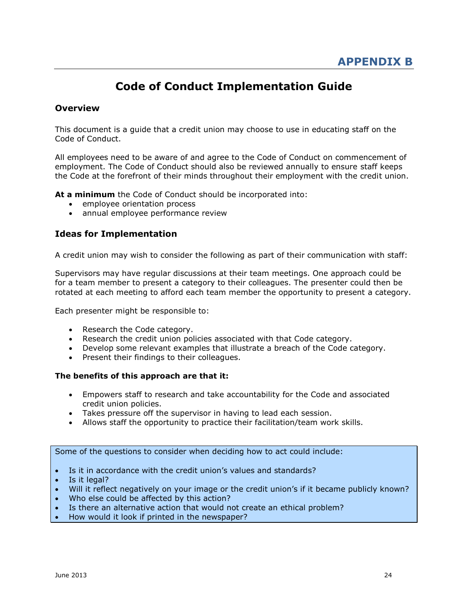# **Code of Conduct Implementation Guide**

#### <span id="page-23-0"></span>**Overview**

This document is a guide that a credit union may choose to use in educating staff on the Code of Conduct.

All employees need to be aware of and agree to the Code of Conduct on commencement of employment. The Code of Conduct should also be reviewed annually to ensure staff keeps the Code at the forefront of their minds throughout their employment with the credit union.

**At a minimum** the Code of Conduct should be incorporated into:

- employee orientation process
- annual employee performance review

#### **Ideas for Implementation**

A credit union may wish to consider the following as part of their communication with staff:

Supervisors may have regular discussions at their team meetings. One approach could be for a team member to present a category to their colleagues. The presenter could then be rotated at each meeting to afford each team member the opportunity to present a category.

Each presenter might be responsible to:

- Research the Code category.
- Research the credit union policies associated with that Code category.
- Develop some relevant examples that illustrate a breach of the Code category.
- Present their findings to their colleagues.

#### **The benefits of this approach are that it:**

- Empowers staff to research and take accountability for the Code and associated credit union policies.
- Takes pressure off the supervisor in having to lead each session.
- Allows staff the opportunity to practice their facilitation/team work skills.

#### Some of the questions to consider when deciding how to act could include:

- Is it in accordance with the credit union's values and standards?
- Is it legal?
- Will it reflect negatively on your image or the credit union's if it became publicly known?
- Who else could be affected by this action?
- Is there an alternative action that would not create an ethical problem?
- How would it look if printed in the newspaper?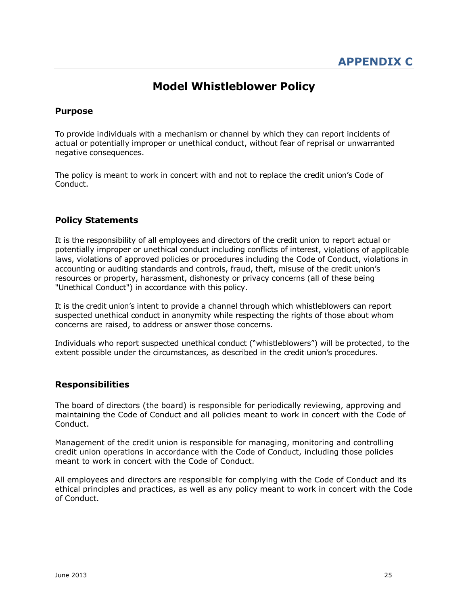# **Model Whistleblower Policy**

#### <span id="page-24-0"></span>**Purpose**

To provide individuals with a mechanism or channel by which they can report incidents of actual or potentially improper or unethical conduct, without fear of reprisal or unwarranted negative consequences.

The policy is meant to work in concert with and not to replace the credit union's Code of Conduct.

#### **Policy Statements**

It is the responsibility of all employees and directors of the credit union to report actual or potentially improper or unethical conduct including conflicts of interest, violations of applicable laws, violations of approved policies or procedures including the Code of Conduct, violations in accounting or auditing standards and controls, fraud, theft, misuse of the credit union's resources or property, harassment, dishonesty or privacy concerns (all of these being "Unethical Conduct") in accordance with this policy.

It is the credit union's intent to provide a channel through which whistleblowers can report suspected unethical conduct in anonymity while respecting the rights of those about whom concerns are raised, to address or answer those concerns.

Individuals who report suspected unethical conduct ("whistleblowers") will be protected, to the extent possible under the circumstances, as described in the credit union's procedures.

#### **Responsibilities**

The board of directors (the board) is responsible for periodically reviewing, approving and maintaining the Code of Conduct and all policies meant to work in concert with the Code of Conduct.

Management of the credit union is responsible for managing, monitoring and controlling credit union operations in accordance with the Code of Conduct, including those policies meant to work in concert with the Code of Conduct.

All employees and directors are responsible for complying with the Code of Conduct and its ethical principles and practices, as well as any policy meant to work in concert with the Code of Conduct.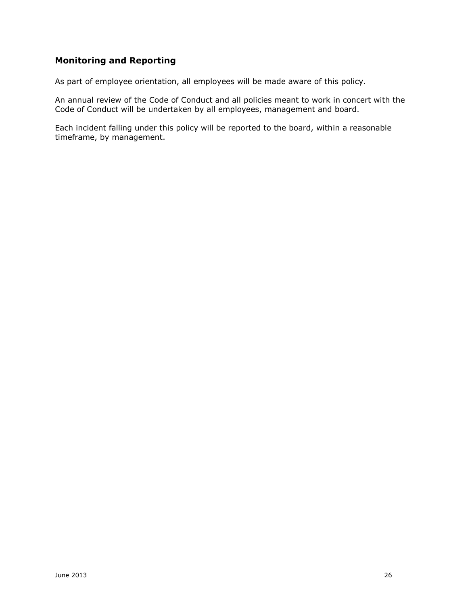# **Monitoring and Reporting**

As part of employee orientation, all employees will be made aware of this policy.

An annual review of the Code of Conduct and all policies meant to work in concert with the Code of Conduct will be undertaken by all employees, management and board.

Each incident falling under this policy will be reported to the board, within a reasonable timeframe, by management.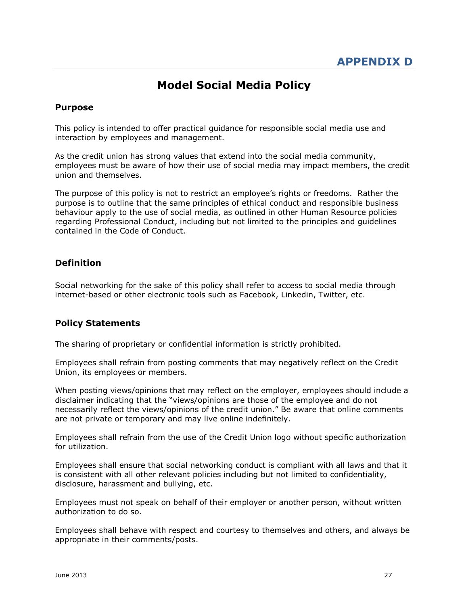# **Model Social Media Policy**

#### <span id="page-26-0"></span>**Purpose**

This policy is intended to offer practical guidance for responsible social media use and interaction by employees and management.

As the credit union has strong values that extend into the social media community, employees must be aware of how their use of social media may impact members, the credit union and themselves.

The purpose of this policy is not to restrict an employee's rights or freedoms. Rather the purpose is to outline that the same principles of ethical conduct and responsible business behaviour apply to the use of social media, as outlined in other Human Resource policies regarding Professional Conduct, including but not limited to the principles and guidelines contained in the Code of Conduct.

#### **Definition**

Social networking for the sake of this policy shall refer to access to social media through internet-based or other electronic tools such as Facebook, Linkedin, Twitter, etc.

#### **Policy Statements**

The sharing of proprietary or confidential information is strictly prohibited.

Employees shall refrain from posting comments that may negatively reflect on the Credit Union, its employees or members.

When posting views/opinions that may reflect on the employer, employees should include a disclaimer indicating that the "views/opinions are those of the employee and do not necessarily reflect the views/opinions of the credit union." Be aware that online comments are not private or temporary and may live online indefinitely.

Employees shall refrain from the use of the Credit Union logo without specific authorization for utilization.

Employees shall ensure that social networking conduct is compliant with all laws and that it is consistent with all other relevant policies including but not limited to confidentiality, disclosure, harassment and bullying, etc.

Employees must not speak on behalf of their employer or another person, without written authorization to do so.

Employees shall behave with respect and courtesy to themselves and others, and always be appropriate in their comments/posts.